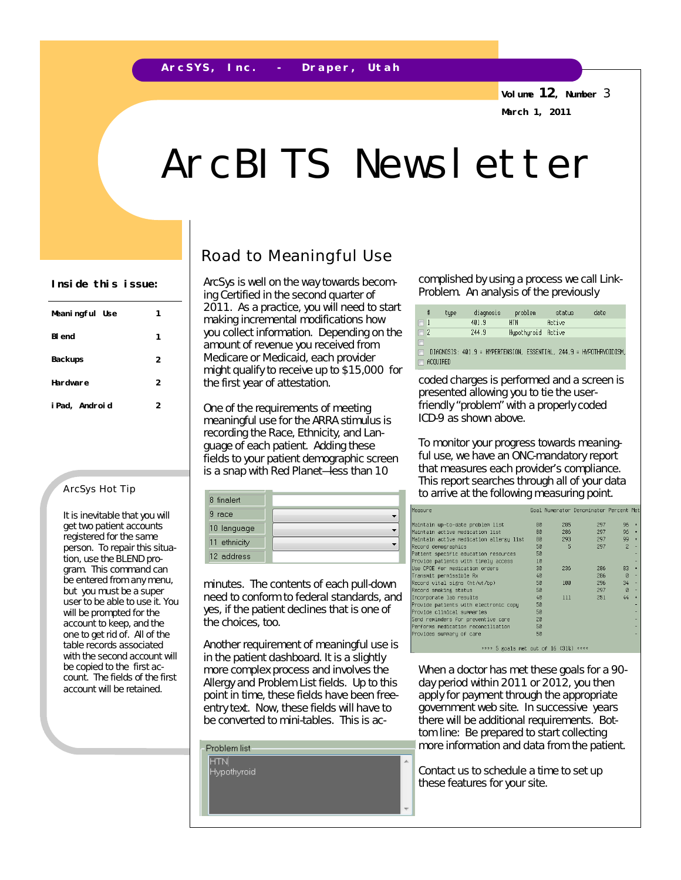**A r c S Y S , I n c . - D r a p e r , U t a h**

**Volume 12, Number** 3 **March 1, 2011**

# ArcBITS Newsletter

| Meaningful Use | 1 |
|----------------|---|
| <b>BI</b> end  | 1 |
| <b>Backups</b> | 2 |
| Hardware       | 2 |
| i Pad, Android | 2 |

#### ArcSys Hot Tip

It is inevitable that you will get two patient accounts registered for the same person. To repair this situation, use the BLEND program. This command can be entered from any menu, but you must be a super user to be able to use it. You will be prompted for the account to keep, and the one to get rid of. All of the *table records* associated with the second account will be copied to the first account. The fields of the first account will be retained.

### Road to Meaningful Use

ArcSys is well on the way towards becoming Certified in the second quarter of 2011. As a practice, you will need to start making incremental modifications how you collect information. Depending on the amount of revenue you received from Medicare or Medicaid, each provider might qualify to receive up to \$15,000 for the first year of attestation.

One of the requirements of meeting meaningful use for the ARRA stimulus is recording the Race, Ethnicity, and Language of each patient. Adding these fields to your patient demographic screen is a snap with Red Planet—less than 10

| 8 finalert   |  |
|--------------|--|
| я<br>race    |  |
| 10 language  |  |
| 11 ethnicity |  |
| 12 address   |  |

minutes. The contents of each pull-down need to conform to federal standards, and yes, if the patient declines that is one of the choices, too.

Another requirement of meaningful use is in the patient dashboard. It is a slightly more complex process and involves the Allergy and Problem List fields. Up to this point in time, these fields have been freeentry text. Now, these fields will have to be converted to mini-tables. This is ac-

Inside this issue:  $\vert$  ArcSys is well on the way towards becom-complished by using a process we call Link-Problem. An analysis of the previously

| ⋕        | tupe     | diagnosis                                                          | problem            | status | date |
|----------|----------|--------------------------------------------------------------------|--------------------|--------|------|
| $\Box$ 1 |          | 401.9                                                              | <b>HTN</b>         | Active |      |
| $\Box$ 2 |          | 244.9                                                              | Hupothuroid Active |        |      |
| E        |          |                                                                    |                    |        |      |
| E        |          | DIAGNOSIS: 401.9 = HYPERTENSION, ESSENTIAL, 244.9 = HYPOTHRYOIDISM |                    |        |      |
| $\Box$   | ACOUTRED |                                                                    |                    |        |      |

coded charges is performed and a screen is presented allowing you to tie the userfriendly "problem" with a properly coded ICD-9 as shown above.

To monitor your progress towards meaningful use, we have an *ONC-mandatory report*  that measures each provider's compliance. This report searches through all of your data to arrive at the following measuring point.

| Measure                                 |    |     | Goal Numerator Denominator Percent Met |                |                      |
|-----------------------------------------|----|-----|----------------------------------------|----------------|----------------------|
| Maintain up-to-date problem list        | 80 | 285 | 297                                    | 96             | $\rightarrow$        |
| Maintain active medication list         | 80 | 286 | 297                                    | 96             | $\rightarrow$        |
| Maintain active medication allergy list | 80 | 293 | 297                                    | 99             | $\ddot{\phantom{1}}$ |
| Record demographics                     | 50 | 5   | 297                                    | $\overline{z}$ |                      |
| Patient specific education resources    | 50 |     |                                        |                |                      |
| Provide patients with timely access     | 10 |     |                                        |                |                      |
| Use CPOE for medication orders          | 30 | 236 | 286                                    | 83             |                      |
| Transmit permissible Rx                 | 40 |     | 286                                    | Й              |                      |
| Record vital signs (ht/wt/bp)           | 50 | 100 | 296                                    | 34             |                      |
| Record smoking status                   | 50 |     | 297                                    | Й              |                      |
| Incorporate lab results                 | 40 | 111 | 251                                    | 44             | ÷                    |
| Provide patients with electronic copy   | 50 |     |                                        |                |                      |
| Provide clinical summaries              | 50 |     |                                        |                |                      |
| Send reminders for preventive care      | 20 |     |                                        |                |                      |
| Performs medication reconciliation      | 50 |     |                                        |                |                      |
| Provides summary of care                | 50 |     |                                        |                |                      |
|                                         |    |     |                                        |                |                      |
|                                         |    |     |                                        |                |                      |

\*\*\*\* 5 goals met out of 16 (31%) \*\*\*\*

When a doctor has met these goals for a 90 day period within 2011 or 2012, you then apply for payment through the appropriate government web site. In successive years there will be additional requirements. Bottom line: Be prepared to start collecting more information and data from the patient.

Contact us to schedule a time to set up these features for your site.